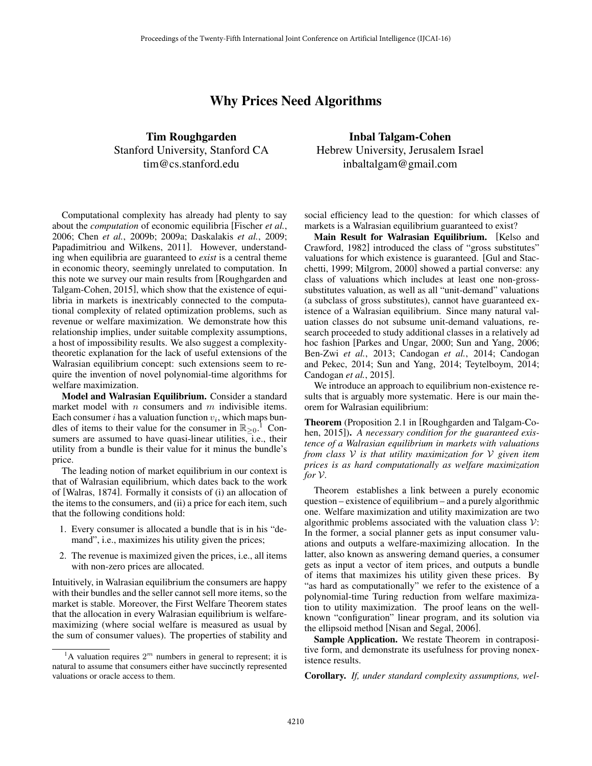## Why Prices Need Algorithms

Tim Roughgarden Stanford University, Stanford CA tim@cs.stanford.edu

Computational complexity has already had plenty to say about the *computation* of economic equilibria [Fischer *et al.*, 2006; Chen *et al.*, 2009b; 2009a; Daskalakis *et al.*, 2009; Papadimitriou and Wilkens, 2011]. However, understanding when equilibria are guaranteed to *exist* is a central theme in economic theory, seemingly unrelated to computation. In this note we survey our main results from [Roughgarden and Talgam-Cohen, 2015], which show that the existence of equilibria in markets is inextricably connected to the computational complexity of related optimization problems, such as revenue or welfare maximization. We demonstrate how this relationship implies, under suitable complexity assumptions, a host of impossibility results. We also suggest a complexitytheoretic explanation for the lack of useful extensions of the Walrasian equilibrium concept: such extensions seem to require the invention of novel polynomial-time algorithms for welfare maximization.

Model and Walrasian Equilibrium. Consider a standard market model with *n* consumers and *m* indivisible items. Each consumer *i* has a valuation function  $v_i$ , which maps bundles of items to their value for the consumer in  $\mathbb{R}_{\geq 0}$ .<sup>1</sup> Consumers are assumed to have quasi-linear utilities, i.e., their utility from a bundle is their value for it minus the bundle's price.

The leading notion of market equilibrium in our context is that of Walrasian equilibrium, which dates back to the work of [Walras, 1874]. Formally it consists of (i) an allocation of the items to the consumers, and (ii) a price for each item, such that the following conditions hold:

- 1. Every consumer is allocated a bundle that is in his "demand", i.e., maximizes his utility given the prices;
- 2. The revenue is maximized given the prices, i.e., all items with non-zero prices are allocated.

Intuitively, in Walrasian equilibrium the consumers are happy with their bundles and the seller cannot sell more items, so the market is stable. Moreover, the First Welfare Theorem states that the allocation in every Walrasian equilibrium is welfaremaximizing (where social welfare is measured as usual by the sum of consumer values). The properties of stability and

Inbal Talgam-Cohen Hebrew University, Jerusalem Israel inbaltalgam@gmail.com

social efficiency lead to the question: for which classes of markets is a Walrasian equilibrium guaranteed to exist?

Main Result for Walrasian Equilibrium. [Kelso and Crawford, 1982] introduced the class of "gross substitutes" valuations for which existence is guaranteed. [Gul and Stacchetti, 1999; Milgrom, 2000] showed a partial converse: any class of valuations which includes at least one non-grosssubstitutes valuation, as well as all "unit-demand" valuations (a subclass of gross substitutes), cannot have guaranteed existence of a Walrasian equilibrium. Since many natural valuation classes do not subsume unit-demand valuations, research proceeded to study additional classes in a relatively ad hoc fashion [Parkes and Ungar, 2000; Sun and Yang, 2006; Ben-Zwi *et al.*, 2013; Candogan *et al.*, 2014; Candogan and Pekec, 2014; Sun and Yang, 2014; Teytelboym, 2014; Candogan *et al.*, 2015].

We introduce an approach to equilibrium non-existence results that is arguably more systematic. Here is our main theorem for Walrasian equilibrium:

Theorem (Proposition 2.1 in [Roughgarden and Talgam-Cohen, 2015]). *A necessary condition for the guaranteed existence of a Walrasian equilibrium in markets with valuations from class V is that utility maximization for V given item prices is as hard computationally as welfare maximization for*  $V$ *.* 

Theorem establishes a link between a purely economic question – existence of equilibrium – and a purely algorithmic one. Welfare maximization and utility maximization are two algorithmic problems associated with the valuation class *V*: In the former, a social planner gets as input consumer valuations and outputs a welfare-maximizing allocation. In the latter, also known as answering demand queries, a consumer gets as input a vector of item prices, and outputs a bundle of items that maximizes his utility given these prices. By "as hard as computationally" we refer to the existence of a polynomial-time Turing reduction from welfare maximization to utility maximization. The proof leans on the wellknown "configuration" linear program, and its solution via the ellipsoid method [Nisan and Segal, 2006].

Sample Application. We restate Theorem in contrapositive form, and demonstrate its usefulness for proving nonexistence results.

Corollary. *If, under standard complexity assumptions, wel-*

<sup>&</sup>lt;sup>1</sup>A valuation requires  $2^m$  numbers in general to represent; it is natural to assume that consumers either have succinctly represented valuations or oracle access to them.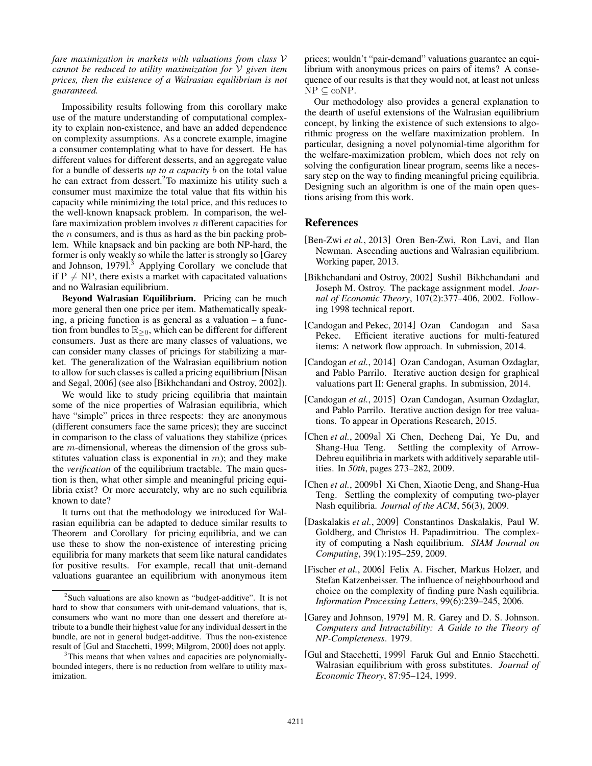*fare maximization in markets with valuations from class V cannot be reduced to utility maximization for V given item prices, then the existence of a Walrasian equilibrium is not guaranteed.*

Impossibility results following from this corollary make use of the mature understanding of computational complexity to explain non-existence, and have an added dependence on complexity assumptions. As a concrete example, imagine a consumer contemplating what to have for dessert. He has different values for different desserts, and an aggregate value for a bundle of desserts *up to a capacity b* on the total value he can extract from dessert.<sup>2</sup>To maximize his utility such a consumer must maximize the total value that fits within his capacity while minimizing the total price, and this reduces to the well-known knapsack problem. In comparison, the welfare maximization problem involves *n* different capacities for the *n* consumers, and is thus as hard as the bin packing problem. While knapsack and bin packing are both NP-hard, the former is only weakly so while the latter is strongly so [Garey and Johnson, 1979]. <sup>3</sup> Applying Corollary we conclude that if  $P \neq NP$ , there exists a market with capacitated valuations and no Walrasian equilibrium.

Beyond Walrasian Equilibrium. Pricing can be much more general then one price per item. Mathematically speaking, a pricing function is as general as a valuation – a function from bundles to  $\mathbb{R}_{\geq0}$ , which can be different for different consumers. Just as there are many classes of valuations, we can consider many classes of pricings for stabilizing a market. The generalization of the Walrasian equilibrium notion to allow for such classes is called a pricing equilibrium [Nisan and Segal, 2006] (see also [Bikhchandani and Ostroy, 2002]).

We would like to study pricing equilibria that maintain some of the nice properties of Walrasian equilibria, which have "simple" prices in three respects: they are anonymous (different consumers face the same prices); they are succinct in comparison to the class of valuations they stabilize (prices are *m*-dimensional, whereas the dimension of the gross substitutes valuation class is exponential in *m*); and they make the *verification* of the equilibrium tractable. The main question is then, what other simple and meaningful pricing equilibria exist? Or more accurately, why are no such equilibria known to date?

It turns out that the methodology we introduced for Walrasian equilibria can be adapted to deduce similar results to Theorem and Corollary for pricing equilibria, and we can use these to show the non-existence of interesting pricing equilibria for many markets that seem like natural candidates for positive results. For example, recall that unit-demand valuations guarantee an equilibrium with anonymous item prices; wouldn't "pair-demand" valuations guarantee an equilibrium with anonymous prices on pairs of items? A consequence of our results is that they would not, at least not unless  $NP \subseteq coNP$ .

Our methodology also provides a general explanation to the dearth of useful extensions of the Walrasian equilibrium concept, by linking the existence of such extensions to algorithmic progress on the welfare maximization problem. In particular, designing a novel polynomial-time algorithm for the welfare-maximization problem, which does not rely on solving the configuration linear program, seems like a necessary step on the way to finding meaningful pricing equilibria. Designing such an algorithm is one of the main open questions arising from this work.

## References

- [Ben-Zwi *et al.*, 2013] Oren Ben-Zwi, Ron Lavi, and Ilan Newman. Ascending auctions and Walrasian equilibrium. Working paper, 2013.
- [Bikhchandani and Ostroy, 2002] Sushil Bikhchandani and Joseph M. Ostroy. The package assignment model. *Journal of Economic Theory*, 107(2):377–406, 2002. Following 1998 technical report.
- [Candogan and Pekec, 2014] Ozan Candogan and Sasa Pekec. Efficient iterative auctions for multi-featured items: A network flow approach. In submission, 2014.
- [Candogan *et al.*, 2014] Ozan Candogan, Asuman Ozdaglar, and Pablo Parrilo. Iterative auction design for graphical valuations part II: General graphs. In submission, 2014.
- [Candogan *et al.*, 2015] Ozan Candogan, Asuman Ozdaglar, and Pablo Parrilo. Iterative auction design for tree valuations. To appear in Operations Research, 2015.
- [Chen *et al.*, 2009a] Xi Chen, Decheng Dai, Ye Du, and Shang-Hua Teng. Settling the complexity of Arrow-Debreu equilibria in markets with additively separable utilities. In *50th*, pages 273–282, 2009.
- [Chen *et al.*, 2009b] Xi Chen, Xiaotie Deng, and Shang-Hua Teng. Settling the complexity of computing two-player Nash equilibria. *Journal of the ACM*, 56(3), 2009.
- [Daskalakis *et al.*, 2009] Constantinos Daskalakis, Paul W. Goldberg, and Christos H. Papadimitriou. The complexity of computing a Nash equilibrium. *SIAM Journal on Computing*, 39(1):195–259, 2009.
- [Fischer *et al.*, 2006] Felix A. Fischer, Markus Holzer, and Stefan Katzenbeisser. The influence of neighbourhood and choice on the complexity of finding pure Nash equilibria. *Information Processing Letters*, 99(6):239–245, 2006.
- [Garey and Johnson, 1979] M. R. Garey and D. S. Johnson. *Computers and Intractability: A Guide to the Theory of NP-Completeness*. 1979.
- [Gul and Stacchetti, 1999] Faruk Gul and Ennio Stacchetti. Walrasian equilibrium with gross substitutes. *Journal of Economic Theory*, 87:95–124, 1999.

<sup>&</sup>lt;sup>2</sup>Such valuations are also known as "budget-additive". It is not hard to show that consumers with unit-demand valuations, that is, consumers who want no more than one dessert and therefore attribute to a bundle their highest value for any individual dessert in the bundle, are not in general budget-additive. Thus the non-existence result of [Gul and Stacchetti, 1999; Milgrom, 2000] does not apply.

<sup>&</sup>lt;sup>3</sup>This means that when values and capacities are polynomiallybounded integers, there is no reduction from welfare to utility maximization.